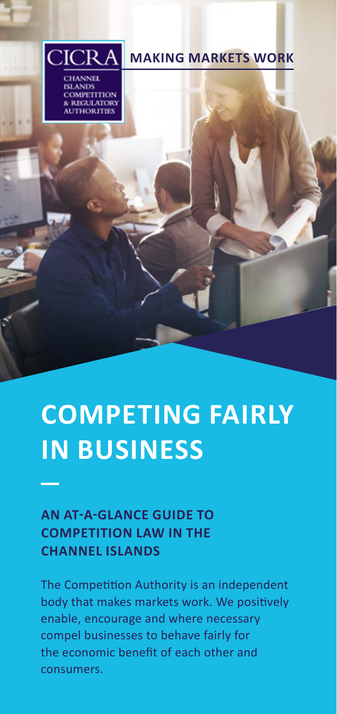

# **COMPETING FAIRLY IN BUSINESS**

# **AN AT-A-GLANCE GUIDE TO COMPETITION LAW IN THE CHANNEL ISLANDS**

The Competition Authority is an independent body that makes markets work. We positively enable, encourage and where necessary compel businesses to behave fairly for the economic benefit of each other and consumers.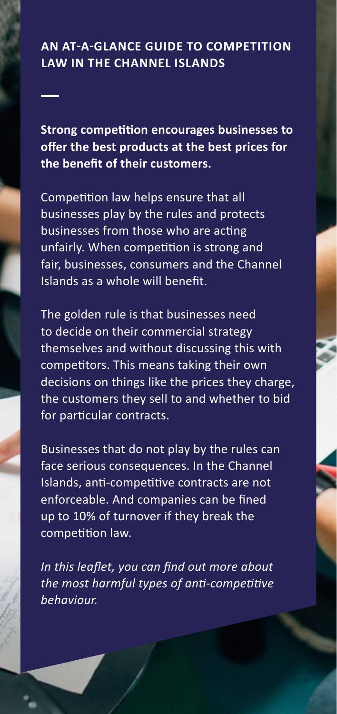# **AN AT-A-GLANCE GUIDE TO COMPETITION LAW IN THE CHANNEL ISLANDS**

**Strong competition encourages businesses to offer the best products at the best prices for the benefit of their customers.**

Competition law helps ensure that all businesses play by the rules and protects businesses from those who are acting unfairly. When competition is strong and fair, businesses, consumers and the Channel Islands as a whole will benefit.

The golden rule is that businesses need to decide on their commercial strategy themselves and without discussing this with competitors. This means taking their own decisions on things like the prices they charge, the customers they sell to and whether to bid for particular contracts.

Businesses that do not play by the rules can face serious consequences. In the Channel Islands, anti-competitive contracts are not enforceable. And companies can be fined up to 10% of turnover if they break the competition law.

*In this leaflet, you can find out more about the most harmful types of anti-competitive behaviour.*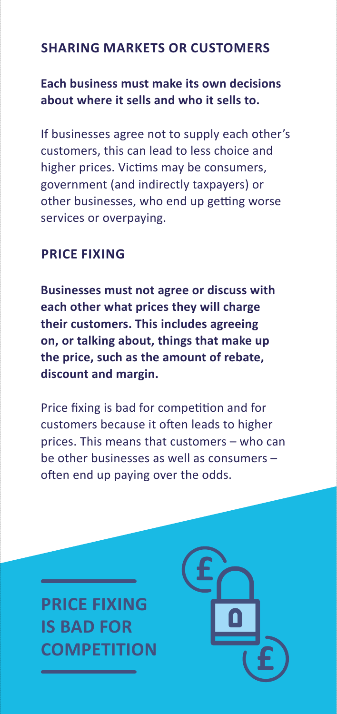# **SHARING MARKETS OR CUSTOMERS**

# **Each business must make its own decisions about where it sells and who it sells to.**

If businesses agree not to supply each other's customers, this can lead to less choice and higher prices. Victims may be consumers, government (and indirectly taxpayers) or other businesses, who end up getting worse services or overpaying.

# **PRICE FIXING**

**Businesses must not agree or discuss with each other what prices they will charge their customers. This includes agreeing on, or talking about, things that make up the price, such as the amount of rebate, discount and margin.**

Price fixing is bad for competition and for customers because it often leads to higher prices. This means that customers – who can be other businesses as well as consumers – often end up paying over the odds.

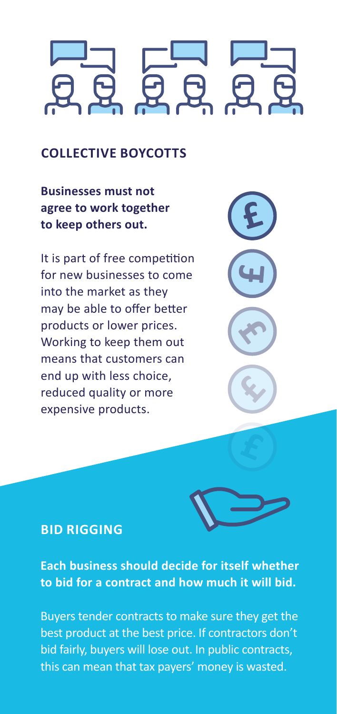# **COLLECTIVE BOYCOTTS**

**Businesses must not agree to work together to keep others out.**

It is part of free competition for new businesses to come into the market as they may be able to offer better products or lower prices. Working to keep them out means that customers can end up with less choice, reduced quality or more expensive products.





### **BID RIGGING**

**Each business should decide for itself whether to bid for a contract and how much it will bid.**

Buyers tender contracts to make sure they get the best product at the best price. If contractors don't bid fairly, buyers will lose out. In public contracts, this can mean that tax payers' money is wasted.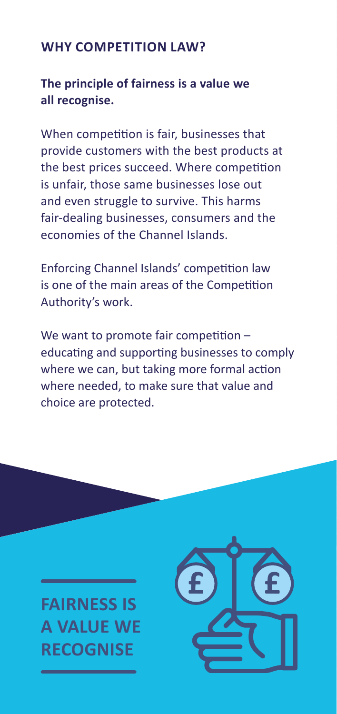# **WHY COMPETITION LAW?**

## **The principle of fairness is a value we all recognise.**

When competition is fair, businesses that provide customers with the best products at the best prices succeed. Where competition is unfair, those same businesses lose out and even struggle to survive. This harms fair-dealing businesses, consumers and the economies of the Channel Islands.

Enforcing Channel Islands' competition law is one of the main areas of the Competition Authority's work.

We want to promote fair competition educating and supporting businesses to comply where we can, but taking more formal action where needed, to make sure that value and choice are protected.